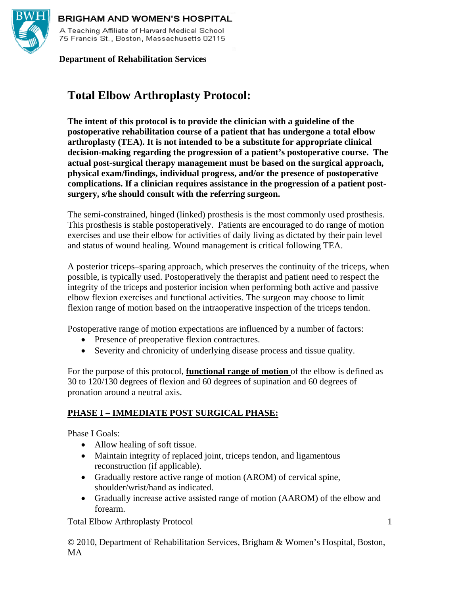

#### **BRIGHAM AND WOMEN'S HOSPITAL**

A Teaching Affiliate of Harvard Medical School 75 Francis St., Boston, Massachusetts 02115

#### **Department of Rehabilitation Services**

# **Total Elbow Arthroplasty Protocol:**

**The intent of this protocol is to provide the clinician with a guideline of the postoperative rehabilitation course of a patient that has undergone a total elbow arthroplasty (TEA). It is not intended to be a substitute for appropriate clinical decision-making regarding the progression of a patient's postoperative course. The actual post-surgical therapy management must be based on the surgical approach, physical exam/findings, individual progress, and/or the presence of postoperative complications. If a clinician requires assistance in the progression of a patient postsurgery, s/he should consult with the referring surgeon.** 

The semi-constrained, hinged (linked) prosthesis is the most commonly used prosthesis. This prosthesis is stable postoperatively. Patients are encouraged to do range of motion exercises and use their elbow for activities of daily living as dictated by their pain level and status of wound healing. Wound management is critical following TEA.

A posterior triceps–sparing approach, which preserves the continuity of the triceps, when possible, is typically used. Postoperatively the therapist and patient need to respect the integrity of the triceps and posterior incision when performing both active and passive elbow flexion exercises and functional activities. The surgeon may choose to limit flexion range of motion based on the intraoperative inspection of the triceps tendon.

Postoperative range of motion expectations are influenced by a number of factors:

- Presence of preoperative flexion contractures.
- Severity and chronicity of underlying disease process and tissue quality.

For the purpose of this protocol, **functional range of motion** of the elbow is defined as 30 to 120/130 degrees of flexion and 60 degrees of supination and 60 degrees of pronation around a neutral axis.

#### **PHASE I – IMMEDIATE POST SURGICAL PHASE:**

Phase I Goals:

- Allow healing of soft tissue.
- Maintain integrity of replaced joint, triceps tendon, and ligamentous reconstruction (if applicable).
- Gradually restore active range of motion (AROM) of cervical spine, shoulder/wrist/hand as indicated.
- Gradually increase active assisted range of motion (AAROM) of the elbow and forearm.

Total Elbow Arthroplasty Protocol

© 2010, Department of Rehabilitation Services, Brigham & Women's Hospital, Boston, MA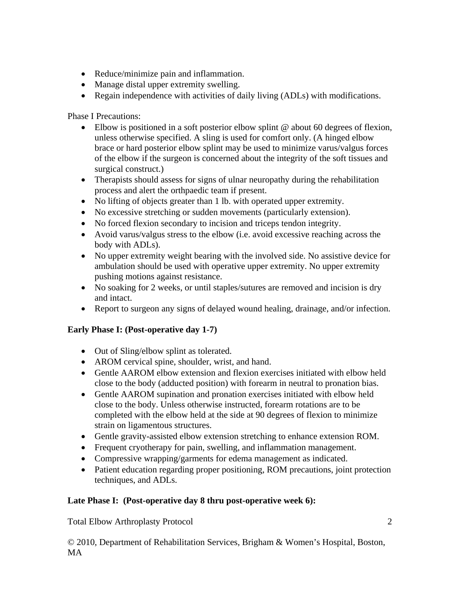- Reduce/minimize pain and inflammation.
- Manage distal upper extremity swelling.
- Regain independence with activities of daily living (ADLs) with modifications.

Phase I Precautions:

- Elbow is positioned in a soft posterior elbow splint  $@$  about 60 degrees of flexion, unless otherwise specified. A sling is used for comfort only. (A hinged elbow brace or hard posterior elbow splint may be used to minimize varus/valgus forces of the elbow if the surgeon is concerned about the integrity of the soft tissues and surgical construct.)
- Therapists should assess for signs of ulnar neuropathy during the rehabilitation process and alert the orthpaedic team if present.
- No lifting of objects greater than 1 lb. with operated upper extremity.
- No excessive stretching or sudden movements (particularly extension).
- No forced flexion secondary to incision and triceps tendon integrity.
- Avoid varus/valgus stress to the elbow (i.e. avoid excessive reaching across the body with ADLs).
- No upper extremity weight bearing with the involved side. No assistive device for ambulation should be used with operative upper extremity. No upper extremity pushing motions against resistance.
- No soaking for 2 weeks, or until staples/sutures are removed and incision is dry and intact.
- Report to surgeon any signs of delayed wound healing, drainage, and/or infection.

#### **Early Phase I: (Post-operative day 1-7)**

- Out of Sling/elbow splint as tolerated.
- AROM cervical spine, shoulder, wrist, and hand.
- Gentle AAROM elbow extension and flexion exercises initiated with elbow held close to the body (adducted position) with forearm in neutral to pronation bias.
- Gentle AAROM supination and pronation exercises initiated with elbow held close to the body. Unless otherwise instructed, forearm rotations are to be completed with the elbow held at the side at 90 degrees of flexion to minimize strain on ligamentous structures.
- Gentle gravity-assisted elbow extension stretching to enhance extension ROM.
- Frequent cryotherapy for pain, swelling, and inflammation management.
- Compressive wrapping/garments for edema management as indicated.
- Patient education regarding proper positioning, ROM precautions, joint protection techniques, and ADLs.

#### **Late Phase I: (Post-operative day 8 thru post-operative week 6):**

Total Elbow Arthroplasty Protocol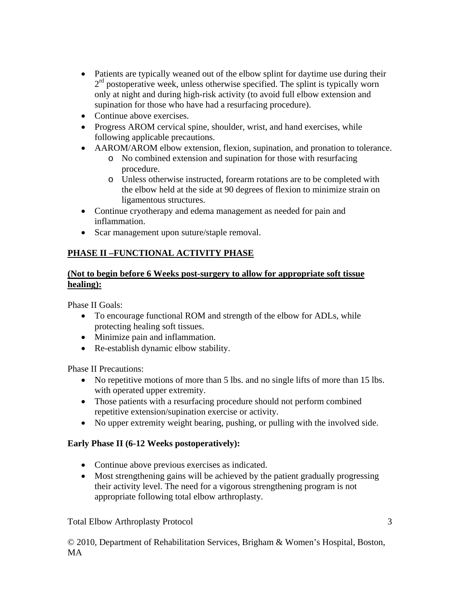- Patients are typically weaned out of the elbow splint for daytime use during their  $2<sup>rd</sup>$  postoperative week, unless otherwise specified. The splint is typically worn only at night and during high-risk activity (to avoid full elbow extension and supination for those who have had a resurfacing procedure).
- Continue above exercises.
- Progress AROM cervical spine, shoulder, wrist, and hand exercises, while following applicable precautions.
- AAROM/AROM elbow extension, flexion, supination, and pronation to tolerance.
	- o No combined extension and supination for those with resurfacing procedure.
	- o Unless otherwise instructed, forearm rotations are to be completed with the elbow held at the side at 90 degrees of flexion to minimize strain on ligamentous structures.
- Continue cryotherapy and edema management as needed for pain and inflammation.
- Scar management upon suture/staple removal.

## **PHASE II –FUNCTIONAL ACTIVITY PHASE**

#### **(Not to begin before 6 Weeks post-surgery to allow for appropriate soft tissue healing):**

Phase II Goals:

- To encourage functional ROM and strength of the elbow for ADLs, while protecting healing soft tissues.
- Minimize pain and inflammation.
- Re-establish dynamic elbow stability.

Phase II Precautions:

- No repetitive motions of more than 5 lbs. and no single lifts of more than 15 lbs. with operated upper extremity.
- Those patients with a resurfacing procedure should not perform combined repetitive extension/supination exercise or activity.
- No upper extremity weight bearing, pushing, or pulling with the involved side.

## **Early Phase II (6-12 Weeks postoperatively):**

- Continue above previous exercises as indicated.
- Most strengthening gains will be achieved by the patient gradually progressing their activity level. The need for a vigorous strengthening program is not appropriate following total elbow arthroplasty.

Total Elbow Arthroplasty Protocol

© 2010, Department of Rehabilitation Services, Brigham & Women's Hospital, Boston, MA